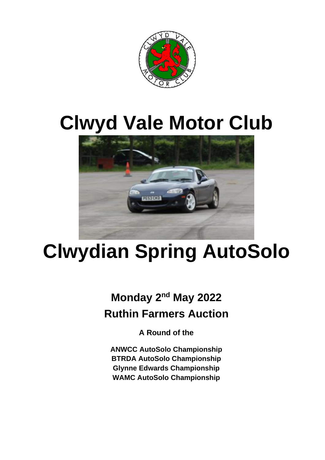

# **Clwyd Vale Motor Club**



# **Clwydian Spring AutoSolo**

# **Monday 2<sup>nd</sup> May 2022 Ruthin Farmers Auction**

**A Round of the** 

**ANWCC AutoSolo Championship BTRDA AutoSolo Championship Glynne Edwards Championship WAMC AutoSolo Championship**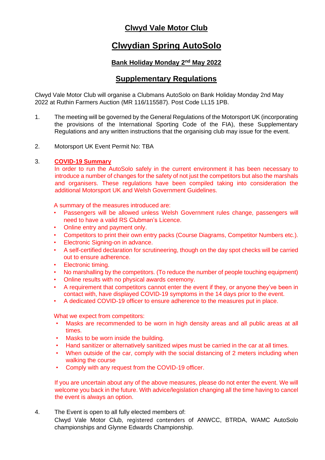### **Clwyd Vale Motor Club**

## **Clwydian Spring AutoSolo**

#### **Bank Holiday Monday 2nd May 2022**

### **Supplementary Regulations**

Clwyd Vale Motor Club will organise a Clubmans AutoSolo on Bank Holiday Monday 2nd May 2022 at Ruthin Farmers Auction (MR 116/115587). Post Code LL15 1PB.

- 1. The meeting will be governed by the General Regulations of the Motorsport UK (incorporating the provisions of the International Sporting Code of the FIA), these Supplementary Regulations and any written instructions that the organising club may issue for the event.
- 2. Motorsport UK Event Permit No: TBA

#### 3. **COVID-19 Summary**

In order to run the AutoSolo safely in the current environment it has been necessary to introduce a number of changes for the safety of not just the competitors but also the marshals and organisers. These regulations have been compiled taking into consideration the additional Motorsport UK and Welsh Government Guidelines.

A summary of the measures introduced are:

- Passengers will be allowed unless Welsh Government rules change, passengers will need to have a valid RS Clubman's Licence.
- Online entry and payment only.
- Competitors to print their own entry packs (Course Diagrams, Competitor Numbers etc.).
- Electronic Signing-on in advance.
- A self-certified declaration for scrutineering, though on the day spot checks will be carried out to ensure adherence.
- Electronic timing.
- No marshalling by the competitors. (To reduce the number of people touching equipment)
- Online results with no physical awards ceremony.
- A requirement that competitors cannot enter the event if they, or anyone they've been in contact with, have displayed COVID-19 symptoms in the 14 days prior to the event.
- A dedicated COVID-19 officer to ensure adherence to the measures put in place.

What we expect from competitors:

- Masks are recommended to be worn in high density areas and all public areas at all times.
- Masks to be worn inside the building.
- Hand sanitizer or alternatively sanitized wipes must be carried in the car at all times.
- When outside of the car, comply with the social distancing of 2 meters including when walking the course
- Comply with any request from the COVID-19 officer.

If you are uncertain about any of the above measures, please do not enter the event. We will welcome you back in the future. With advice/legislation changing all the time having to cancel the event is always an option.

4. The Event is open to all fully elected members of:

Clwyd Vale Motor Club, registered contenders of ANWCC, BTRDA, WAMC AutoSolo championships and Glynne Edwards Championship.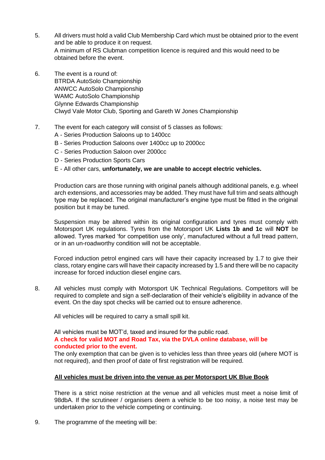- 5. All drivers must hold a valid Club Membership Card which must be obtained prior to the event and be able to produce it on request. A minimum of RS Clubman competition licence is required and this would need to be obtained before the event.
- 6. The event is a round of: BTRDA AutoSolo Championship ANWCC AutoSolo Championship WAMC AutoSolo Championship Glynne Edwards Championship Clwyd Vale Motor Club, Sporting and Gareth W Jones Championship

#### 7. The event for each category will consist of 5 classes as follows:

- A Series Production Saloons up to 1400cc
- B Series Production Saloons over 1400cc up to 2000cc
- C Series Production Saloon over 2000cc
- D Series Production Sports Cars

#### E - All other cars, **unfortunately, we are unable to accept electric vehicles.**

Production cars are those running with original panels although additional panels, e.g. wheel arch extensions, and accessories may be added. They must have full trim and seats although type may be replaced. The original manufacturer's engine type must be fitted in the original position but it may be tuned.

Suspension may be altered within its original configuration and tyres must comply with Motorsport UK regulations. Tyres from the Motorsport UK **Lists 1b and 1c** will **NOT** be allowed. Tyres marked 'for competition use only', manufactured without a full tread pattern, or in an un-roadworthy condition will not be acceptable.

Forced induction petrol engined cars will have their capacity increased by 1.7 to give their class, rotary engine cars will have their capacity increased by 1.5 and there will be no capacity increase for forced induction diesel engine cars.

8. All vehicles must comply with Motorsport UK Technical Regulations. Competitors will be required to complete and sign a self-declaration of their vehicle's eligibility in advance of the event. On the day spot checks will be carried out to ensure adherence.

All vehicles will be required to carry a small spill kit.

All vehicles must be MOT'd, taxed and insured for the public road.

#### **A check for valid MOT and Road Tax, via the DVLA online database, will be conducted prior to the event.**

The only exemption that can be given is to vehicles less than three years old (where MOT is not required), and then proof of date of first registration will be required.

#### **All vehicles must be driven into the venue as per Motorsport UK Blue Book**

There is a strict noise restriction at the venue and all vehicles must meet a noise limit of 98dbA. If the scrutineer / organisers deem a vehicle to be too noisy, a noise test may be undertaken prior to the vehicle competing or continuing.

9. The programme of the meeting will be: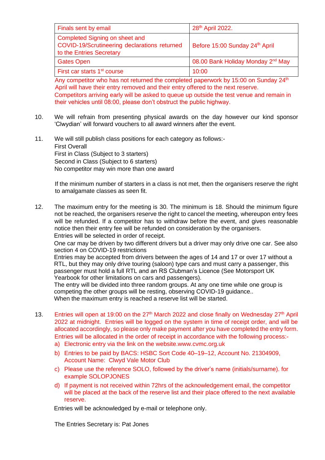| Finals sent by email                                                                                       | 28 <sup>th</sup> April 2022.                  |
|------------------------------------------------------------------------------------------------------------|-----------------------------------------------|
| Completed Signing on sheet and<br>COVID-19/Scrutineering declarations returned<br>to the Entries Secretary | Before 15:00 Sunday 24th April                |
| <b>Gates Open</b>                                                                                          | 08.00 Bank Holiday Monday 2 <sup>nd</sup> May |
| First car starts 1 <sup>st</sup> course                                                                    | 10:00                                         |

Any competitor who has not returned the completed paperwork by 15:00 on Sunday 24<sup>th</sup> April will have their entry removed and their entry offered to the next reserve. Competitors arriving early will be asked to queue up outside the test venue and remain in their vehicles until 08:00, please don't obstruct the public highway.

- 10. We will refrain from presenting physical awards on the day however our kind sponsor 'Clwydian' will forward vouchers to all award winners after the event.
- 11. We will still publish class positions for each category as follows:- First Overall First in Class (Subject to 3 starters) Second in Class (Subject to 6 starters) No competitor may win more than one award

If the minimum number of starters in a class is not met, then the organisers reserve the right to amalgamate classes as seen fit.

12. The maximum entry for the meeting is 30. The minimum is 18. Should the minimum figure not be reached, the organisers reserve the right to cancel the meeting, whereupon entry fees will be refunded. If a competitor has to withdraw before the event, and gives reasonable notice then their entry fee will be refunded on consideration by the organisers. Entries will be selected in order of receipt.

One car may be driven by two different drivers but a driver may only drive one car. See also section 4 on COVID-19 restrictions

Entries may be accepted from drivers between the ages of 14 and 17 or over 17 without a RTL, but they may only drive touring (saloon) type cars and must carry a passenger, this passenger must hold a full RTL and an RS Clubman's Licence (See Motorsport UK Yearbook for other limitations on cars and passengers).

The entry will be divided into three random groups. At any one time while one group is competing the other groups will be resting, observing COVID-19 guidance.. When the maximum entry is reached a reserve list will be started.

- 13. Entries will open at 19:00 on the 27<sup>th</sup> March 2022 and close finally on Wednesday 27<sup>th</sup> April 2022 at midnight. Entries will be logged on the system in time of receipt order, and will be allocated accordingly, so please only make payment after you have completed the entry form. Entries will be allocated in the order of receipt in accordance with the following process:
	- a) Electronic entry via the link on the website.www.cvmc.org.uk
	- b) Entries to be paid by BACS: HSBC Sort Code 40–19–12, Account No. 21304909, Account Name: Clwyd Vale Motor Club
	- c) Please use the reference SOLO, followed by the driver's name (initials/surname). for example SOLOPJONES
	- d) If payment is not received within 72hrs of the acknowledgement email, the competitor will be placed at the back of the reserve list and their place offered to the next available reserve.

Entries will be acknowledged by e-mail or telephone only.

The Entries Secretary is: Pat Jones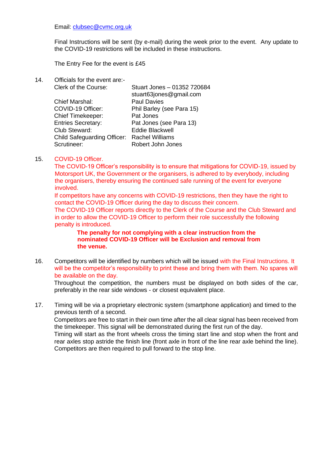#### Email: clubsec@cvmc.org.uk

Final Instructions will be sent (by e-mail) during the week prior to the event. Any update to the COVID-19 restrictions will be included in these instructions.

The Entry Fee for the event is £45

14. Officials for the event are:-

| Stuart Jones - 01352 720684 |
|-----------------------------|
| stuart63jones@gmail.com     |
| <b>Paul Davies</b>          |
| Phil Barley (see Para 15)   |
| Pat Jones                   |
| Pat Jones (see Para 13)     |
| <b>Eddie Blackwell</b>      |
| <b>Rachel Williams</b>      |
| Robert John Jones           |
|                             |

#### 15. COVID-19 Officer.

The COVID-19 Officer's responsibility is to ensure that mitigations for COVID-19, issued by Motorsport UK, the Government or the organisers, is adhered to by everybody, including the organisers, thereby ensuring the continued safe running of the event for everyone involved.

If competitors have any concerns with COVID-19 restrictions, then they have the right to contact the COVID-19 Officer during the day to discuss their concern.

The COVID-19 Officer reports directly to the Clerk of the Course and the Club Steward and in order to allow the COVID-19 Officer to perform their role successfully the following penalty is introduced.

#### **The penalty for not complying with a clear instruction from the nominated COVID-19 Officer will be Exclusion and removal from the venue.**

16. Competitors will be identified by numbers which will be issued with the Final Instructions. It will be the competitor's responsibility to print these and bring them with them. No spares will be available on the day.

Throughout the competition, the numbers must be displayed on both sides of the car, preferably in the rear side windows - or closest equivalent place.

17. Timing will be via a proprietary electronic system (smartphone application) and timed to the previous tenth of a second.

Competitors are free to start in their own time after the all clear signal has been received from the timekeeper. This signal will be demonstrated during the first run of the day.

Timing will start as the front wheels cross the timing start line and stop when the front and rear axles stop astride the finish line (front axle in front of the line rear axle behind the line). Competitors are then required to pull forward to the stop line.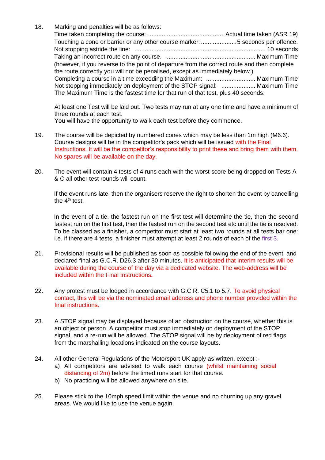18. Marking and penalties will be as follows: Time taken completing the course: .............................................Actual time taken (ASR 19) Touching a cone or barrier or any other course marker: .....................5 seconds per offence. Not stopping astride the line: ............................................................................. 10 seconds Taking an incorrect route on any course. ..................................................... Maximum Time (however, if you reverse to the point of departure from the correct route and then complete the route correctly you will not be penalised, except as immediately below.) Completing a course in a time exceeding the Maximum: ............................. Maximum Time Not stopping immediately on deployment of the STOP signal: .................... Maximum Time The Maximum Time is the fastest time for that run of that test, plus 40 seconds.

At least one Test will be laid out. Two tests may run at any one time and have a minimum of three rounds at each test.

You will have the opportunity to walk each test before they commence.

- 19. The course will be depicted by numbered cones which may be less than 1m high (M6.6). Course designs will be in the competitor's pack which will be issued with the Final Instructions. It will be the competitor's responsibility to print these and bring them with them. No spares will be available on the day.
- 20. The event will contain 4 tests of 4 runs each with the worst score being dropped on Tests A & C all other test rounds will count.

If the event runs late, then the organisers reserve the right to shorten the event by cancelling the  $4<sup>th</sup>$  test.

In the event of a tie, the fastest run on the first test will determine the tie, then the second fastest run on the first test, then the fastest run on the second test etc until the tie is resolved. To be classed as a finisher, a competitor must start at least two rounds at all tests bar one: i.e. if there are 4 tests, a finisher must attempt at least 2 rounds of each of the first 3.

- 21. Provisional results will be published as soon as possible following the end of the event, and declared final as G.C.R. D26.3 after 30 minutes. It is anticipated that interim results will be available during the course of the day via a dedicated website. The web-address will be included within the Final Instructions.
- 22. Any protest must be lodged in accordance with G.C.R. C5.1 to 5.7. To avoid physical contact, this will be via the nominated email address and phone number provided within the final instructions.
- 23. A STOP signal may be displayed because of an obstruction on the course, whether this is an object or person. A competitor must stop immediately on deployment of the STOP signal, and a re-run will be allowed. The STOP signal will be by deployment of red flags from the marshalling locations indicated on the course layouts.
- 24. All other General Regulations of the Motorsport UK apply as written, except :
	- a) All competitors are advised to walk each course (whilst maintaining social distancing of 2m) before the timed runs start for that course.
	- b) No practicing will be allowed anywhere on site.
- 25. Please stick to the 10mph speed limit within the venue and no churning up any gravel areas. We would like to use the venue again.